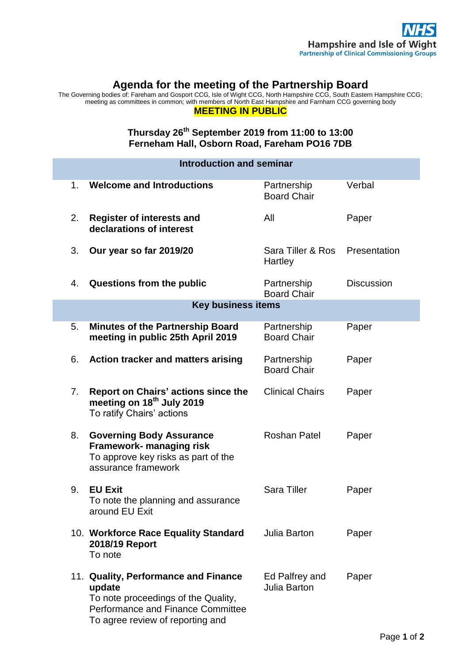## **Agenda for the meeting of the Partnership Board**

The Governing bodies of: Fareham and Gosport CCG, Isle of Wight CCG, North Hampshire CCG, South Eastern Hampshire CCG; meeting as committees in common; with members of North East Hampshire and Farnham CCG governing body

## **MEETING IN PUBLIC**

## **Thursday 26th September 2019 from 11:00 to 13:00 Ferneham Hall, Osborn Road, Fareham PO16 7DB**

| <b>Introduction and seminar</b> |                                                                                                                                                                |                                       |                   |
|---------------------------------|----------------------------------------------------------------------------------------------------------------------------------------------------------------|---------------------------------------|-------------------|
| 1.                              | <b>Welcome and Introductions</b>                                                                                                                               | Partnership<br><b>Board Chair</b>     | Verbal            |
| 2.                              | <b>Register of interests and</b><br>declarations of interest                                                                                                   | All                                   | Paper             |
| 3.                              | Our year so far 2019/20                                                                                                                                        | Sara Tiller & Ros<br>Hartley          | Presentation      |
| 4.                              | Questions from the public                                                                                                                                      | Partnership<br><b>Board Chair</b>     | <b>Discussion</b> |
| <b>Key business items</b>       |                                                                                                                                                                |                                       |                   |
| 5.                              | <b>Minutes of the Partnership Board</b><br>meeting in public 25th April 2019                                                                                   | Partnership<br><b>Board Chair</b>     | Paper             |
| 6.                              | <b>Action tracker and matters arising</b>                                                                                                                      | Partnership<br><b>Board Chair</b>     | Paper             |
| 7 <sub>1</sub>                  | <b>Report on Chairs' actions since the</b><br>meeting on 18 <sup>th</sup> July 2019<br>To ratify Chairs' actions                                               | <b>Clinical Chairs</b>                | Paper             |
| 8.                              | <b>Governing Body Assurance</b><br><b>Framework- managing risk</b><br>To approve key risks as part of the<br>assurance framework                               | <b>Roshan Patel</b>                   | Paper             |
| 9.                              | <b>EU Exit</b><br>To note the planning and assurance<br>around EU Exit                                                                                         | Sara Tiller                           | Paper             |
|                                 | 10. Workforce Race Equality Standard<br>2018/19 Report<br>To note                                                                                              | <b>Julia Barton</b>                   | Paper             |
|                                 | 11. Quality, Performance and Finance<br>update<br>To note proceedings of the Quality,<br>Performance and Finance Committee<br>To agree review of reporting and | Ed Palfrey and<br><b>Julia Barton</b> | Paper             |